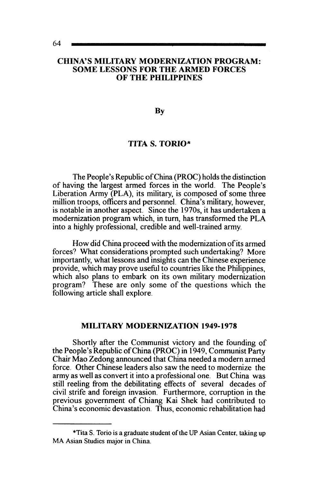#### CHINA'S MILITARY MODERNIZATION PROGRAM: SOME LESSONS FOR THE ARMED FORCES OF THE PHILIPPINES

By

### TITA S. TORIO\*

The People's Republic of China (PROC) holds the distinction of having the largest armed forces in the world. The People's Liberation Army (PLA), its military, is composed of some three million troops, officers and personnel. China's military, however, is notable in another aspect. Since the 1970s, it has undertaken a modernization program which, in turn, has transformed the PLA into a highly professional, credible and well-trained army.

How did China proceed with the modernization of its armed forces? What considerations prompted such undertaking? More importantly, what lessons and insights can the Chinese experience provide, which may prove useful to countries like the Philippines, which also plans to embark on its own military modernization program? These are only some of the questions which the following article shall explore.

### MILITARY MODERNIZATION 1949-1978

Shortly after the Communist victory and the founding of the People's Republic of China (PROC) in 1949, Communist Party Chair Mao Zedong announced that China needed a modern armed force. Other Chinese leaders also saw the need to modernize the army as well as convert it into a professional one. But China was still reeling from the debilitating effects of several decades of civil strife and foreign invasion. Furthermore, corruption in the previous government of Chiang Kai Shek had contributed to China's economic devastation. Thus, economic rehabilitation had

<sup>\*</sup>Tita S. Torio is a graduate student of the UP Asian Center, taking up MA Asian Studies major in China.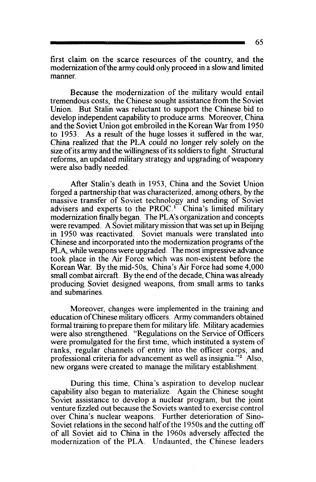first claim on the scarce resources of the country, and the modernization ofthe army could only proceed in a slow and limited manner.

Because the modernization of the military would entail tremendous costs, the Chinese sought assistance from the Soviet Union. But Stalin was reluctant to support the Chinese bid to develop independent capability to produce arms. Moreover, China and the Soviet Union got embroiled in the Korean War from 1950 to 1953. As a result of the huge losses it suffered in the war, China realized that the PLA could no longer rely solely on the size of its army and the willingness of its soldiers to fight. Structural reforms, an updated military strategy and upgrading of weaponry were also badly needed.

After Stalin's death in 1953, China and the Soviet Union forged a partnership that was characterized, among others, by the massive transfer of Soviet technology and sending of Soviet advisers and experts to the PROC.<sup>1</sup> China's limited military modernization finally began. The PLA's organization and concepts were revamped. A Soviet military mission that was set up in Beijing in 1950 was reactivated. Soviet manuals were translated into Chinese and incorporated into the modernization programs of the PLA, while weapons were upgraded. The most impressive advance took place in the Air Force which was non-existent before the Korean War. By the mid-50s, China's Air Force had some 4,000 small combat aircraft. By the end of the decade, China was already producing Soviet designed weapons, from small arms to tanks and submarines.

Moreover, changes were implemented in the training and education of Chinese military officers. Army commanders obtained formal training to prepare them for military life. Military academies were also strengthened. "Regulations on the Service of Officers were promulgated for the first time, which instituted a system of ranks, regular channels of entry into the officer corps, and professional criteria for advancement as well as insignia.<sup> $\frac{1}{2}$ </sup> Also, new organs were created to manage the military establishment.

During this time, China's aspiration to develop nuclear capability also began to materialize. Again the Chinese sought Soviet assistance to develop a nuclear program, but the joint venture fizzled out because the Soviets wanted to exercise control over China's nuclear weapons. Further deterioration of Sino-Soviet relations in the second half of the 1950s and the cutting off of all Soviet aid to China in the 1960s adversely affected the modernization of the PLA. Undaunted, the Chinese leaders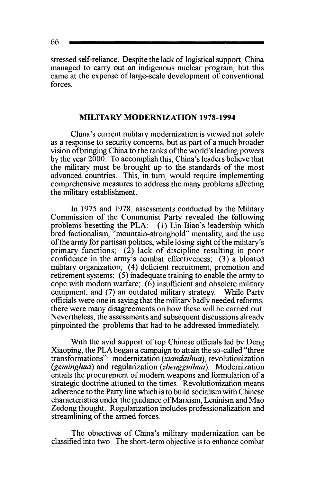stressed self-reliance. Despite the lack of logistical support, China managed to carry out an indigenous nuclear program, but this came at the expense of large-scale development of conventional forces.

# **MILITARY MODERNIZATION 1978-1994**

China's current military modernization is viewed not solely as a response to security concerns, but as part of a much broader vision ofbringing China to the ranks of the world's leading powers by the year 2000. To accomplish this, China's leaders believe that the military must be brought up to the standards of the most advanced countries. This, in tum, would require implementing comprehensive measures to address the many problems affecting the military establishment.

In 1975 and 1978, assessments conducted by the Military Commission of the Communist Party revealed the following problems besetting the PLA: (1) Lin Biao's leadership which bred factionalism, "mountain-stronghold" mentality, and the use of the army for partisan politics, while losing sight of the military's primary functions; (2) lack of discipline resulting in poor confidence in the army's combat effectiveness; (3) a bloated military organization; (4) deficient recruitment, promotion and retirement systems; (5) inadequate training to enable the army to cope with modern warfare;  $(6)$  insufficient and obsolete military equipment; and (7) an outdated military strategy. While Party officials were one in saying that the military badly needed reforms, there were many disagreements on how these will be carried out. Nevertheless, the assessments and subsequent discussions already pinpointed the problems that had to be addressed immediately.

With the avid support of top Chinese officials led by Deng Xiaoping, the PLA began a campaign to attain the so-called "three transformations": modernization *(xiandaihua),* revolutionization *(geminghua)* and regularization *(zhengguihua).* Modernization entails the procurement of modem weapons and formulation of a strategic doctrine attuned to the times. Revolutionization means adherence to the Party line which is to build socialism with Chinese characteristics under the guidance of Marxism, Leninism and Mao Zedong thought. Regularization includes professionalization and streamlining of the armed forces.

The objectives of China's military modernization can be classified into two. The short-term objective is to enhance combat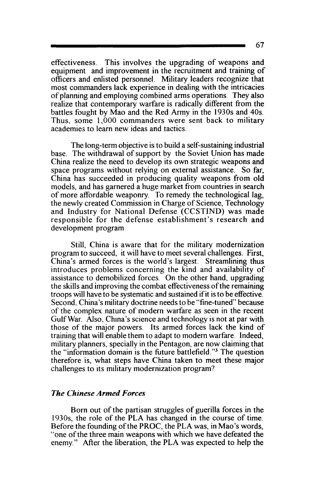effectiveness. This involves the upgrading of weapons and equipment and improvement in the recruitment and training of officers and enlisted personnel. Military leaders recognize that most commanders lack experience in dealing with the intricacies of planning and employing combined arms operations. They also realize that contemporary warfare is radically different from the battles fought by Mao and the Red Army in the 1930s and 40s. Thus. some 1,000 commanders were sent back to military academies to learn new ideas and tactics.

The long-term objective is to build a self-sustaining industrial base. The withdrawal of support by the Soviet Union has made China realize the need to develop its own strategic weapons and space programs without relying on external assistance. So far, China has succeeded in producing quality weapons from old models, and has garnered a huge market from countries in search of more affordable weaponry. To remedy the technological lag, the newly created Commission in Charge of Science, Technology and Industry for National Defense (CCSTIND) was made responsible for the defense establishment's research and development program

Still, China is aware that for the military modernization program to succeed, it will have to meet several challenges. First, China's armed forces is the world's largest. Streamlining thus introduces problems concerning the kind and availability of assistance to demobilized forces. On the other hand, upgrading the skills and improving the combat effectiveness of the remaining troops will have to be systematic and sustained if it is to be effective. Second. China's military doctrine needs to be "fine-tuned" because of the complex nature of modern warfare as seen in the recent Gulf War. Also, China's science and technology is not at par with those of the major powers. Its armed forces lack the kind of training that will enable them to adapt to modern warfare. Indeed, military planners, specially in the Pentagon, are now claiming that the "information domain is the future battlefield. "3 The question therefore is, what steps have China taken to meet these major challenges to its military modernization program?

### *The Chinese Armed Forces*

Born out of the partisan struggles of guerilla forces in the 1930s, the role of the PLA has changed in the course of time. Before the founding of the PROC, the PLA was, in Mao's words, "one of the three main weapons with which we have defeated the enemy." After the liberation, the PLA was expected to help the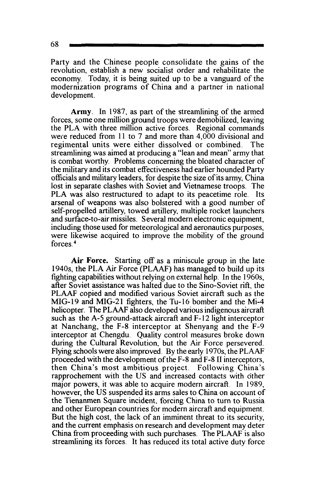68

Party and the Chinese people consolidate the gains of the revolution, establish a new socialist order and rehabilitate the economy. Today, it is being suited up to be a vanguard of the modernization programs of China and a partner in national development.

**Army.** In 1987, as part of the streamlining of the armed forces, some one million ground troops were demobilized, leaving the PLA with three million active forces. Regional commands were reduced from 11 to 7 and more than 4, 000 divisional and regimental units were either dissolved or combined. The streamlining was aimed at producing a "lean and mean" army that is combat worthy. Problems concerning the bloated character of the military and its combat effectiveness had earlier hounded Party officials and military leaders, for despite the size of its army, China lost in separate clashes with Soviet and Vietnamese troops. The PLA was also restructured to adapt to its peacetime role. Its arsenal of weapons was also bolstered with a good number of self-propelled artillery, towed artillery, multiple rocket launchers and surface-to-air missiles. Several modem electronic equipment, including those used for meteorological and aeronautics purposes, were likewise acquired to improve the mobility of the ground forces<sup>4</sup>

**Air Force.** Starting off as a miniscule group in the late 1940s, the PLA Air Force (PLAAF) has managed to build up its fighting capabilities without relying on external help. In the 1960s, after Soviet assistance was halted due to the Sino-Soviet rift, the PLAAF copied and modified various Soviet aircraft such as the MIG-19 and MIG-21 fighters, the Tu-16 bomber and the Mi-4 helicopter. The PLAAF also developed various indigenous aircraft such as the A-5 ground-attack aircraft and F-12 light interceptor at Nanchang, the F-8 interceptor at Shenyang and the F-9 interceptor at Chengdu. Quality control measures broke down during the Cultural Revolution, but the Air Force persevered. Flying schools were also improved. By the early 1970s, the PLAAF proceeded with the development of the F-8 and F-8 II interceptors, then China's most ambitious project. Following China's rapprochement with the US and increased contacts with other major powers, it was able to acquire modem aircraft. In 1989, however, the US suspended its arms sales to China on account of the Tienanmen Square incident. forcing China to turn to Russia and other European countries for modern aircraft and equipment. But the high cost, the lack of an imminent threat to its security, and the current emphasis on research and development may deter China from proceeding with such purchases. The PLAAF is also streamlining its forces. It has reduced its total active duty force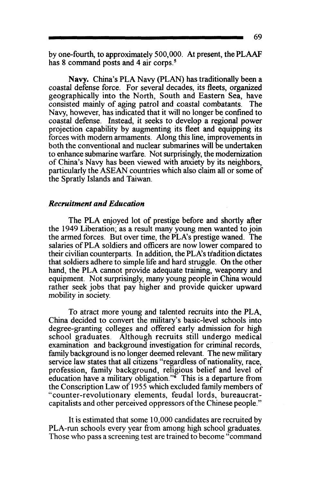by one-fourth, to approximately 500,000. At present, thePLAAF has 8 command posts and 4 air corps.<sup>5</sup>

Navy. China's PLA Navy (PLAN) has traditionally been a coastal defense force. For several decades, its fleets, organized geographically into the North, South and Eastern Sea, have consisted mainly of aging patrol and coastal combatants. The Navy, however, has indicated that it will no longer be confined to coastal defense. Instead, it seeks to develop a regional power projection capability by augmenting its fleet and equipping its forces with modern armaments. Along this line, improvements in both the conventional and nuclear submarines will be undertaken to enhance submarine warfare. Not surprisingly, the modernization of China's Navy has been viewed with anxiety by its neighbors, particularly the ASEAN countries which also claim all or some of the Spratly Islands and Taiwan.

### *Recruitment and Education*

The PLA enjoyed lot of prestige before and shortly after the 1949 Liberation; as a result many young men wanted to join the armed forces. But over time, the PLA's prestige waned. The salaries of PLA soldiers and officers are now lower compared to their civilian counterparts. In addition, the PLA's tradition dictates that soldiers adhere to simple life and hard struggle. On the other hand, the PLA cannot provide adequate training, weaponry and equipment. Not surprisingly, many young people in China would rather seek jobs that pay higher and provide quicker upward mobility in society.

To atract more young and talented recruits into the PLA, China decided to convert the military's basic-level schools into degree-granting colleges and offered early admission for high school graduates. Although recruits still undergo medical examination and background investigation for criminal records, family background is no longer deemed relevant. The new military service law states that all citizens "regardless of nationality, race, profession, family background, religious belief and level of education have a military obligation." $\delta$  This is a departure from the Conscription Law of 1955 which excluded family members of "counter-revolutionary elements, feudal lords, bureaucratcapitalists and other perceived oppressors ofthe Chinese people."

It is estimated that some 10,000 candidates are recruited by PLA-run schools every year from among high school graduates. Those who pass a screening test are trained to become "command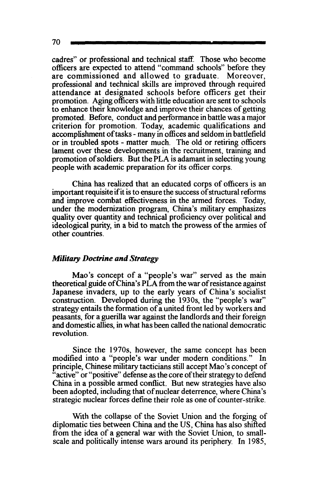70

cadres" or professional and technical staff. Those who become officers are expected to attend "command schools" before they are commissioned and allowed to graduate. Moreover, professional and technical skills are improved through required attendance at designated schools before officers get their promotion. Aging officers with little education are sent to schools to enhance their knowledge and improve their chances of getting promoted. Before, conduct and performance in battle was a major criterion for promotion. Today, academic qualifications and accomplishment of tasks- many in offices and seldom in battlefield or in troubled spots - matter much. The old or retiring officers lament over these developments in the recruitment, training and promotion of soldiers. But the PLA is adamant in selecting young people with academic preparation for its officer corps.

China has realized that an educated corps of officers is an important requisite if it is to ensure the success of structural reforms and improve combat effectiveness in the armed forces. Today, under the modernization program, China's military emphasizes quality over quantity and technical proficiency over political and ideological purity, in a bid to match the prowess of the armies of other countries.

### *Military Doctrine and Strategy*

Mao's concept of a "people's war" served as the main theoretical guide of China's PLA from the war of resistance against Japanese invaders, up to the early years of China's socialist construction. Developed during the 1930s, the "people's war" strategy entails the formation of a united front led by workers and peasants, for a guerilla war against the landlords and their foreign and domestic allies, in what has been called the national democratic revolution.

Since the 1970s, however, the same concept has been modified into a "people's war under modem conditions." In principle, Chinese military tacticians still accept Mao's concept of "active" or "positive" defense as the core of their strategy to defend China in a possible armed conflict. But new strategies have also been adopted, including that of nuclear deterrence, where China's strategic nuclear forces define their role as one of counter-strike.

With the collapse of the Soviet Union and the forging of diplomatic ties between China and the US, China has also shifted from the idea of a general war with the Soviet Union, to smallscale and politically intense wars around its periphery. In 1985,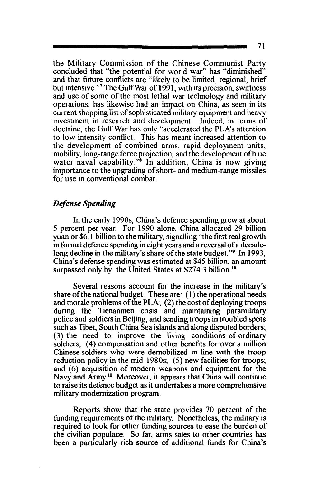the Military Commission of the Chinese Communist Party concluded that "the potential for world war" has "diminished" and that future conflicts are "likely to be limited, regional, brief but intensive. "7 The GulfWar of 1991, with its precision, swiftness and use of some of the most lethal war technology and military operations, has likewise had an impact on China, as seen in its current shopping list of sophisticated military equipment and heavy investment in research and development. Indeed, in terms of doctrine, the GulfWar has only "accelerated the PLA's attention to low-intensity conflict. This has meant increased attention to the development of combined arms, rapid deployment units, mobility, long-range force projection, and the development of blue water naval capability." $\frac{1}{s}$  In addition, China is now giving importance to the upgrading of short- and medium-range missiles for use in conventional combat.

# *Defense Spending*

In the early 1990s, China's defence spending grew at about 5 percent per year. For 1990 alone, China allocated 29 billion yuan or \$6.1 billion to the military, signalling "the first real growth in formal defence spending in eight years and a reversal of a decadelong decline in the military's share of the state budget."<sup>9</sup> In 1993, China's defense spending was estimated at \$45 billion, an amount surpassed only by the United States at  $$274.3$  billion.<sup>10</sup>

Several reasons account for the increase in the military's share of the national budget. These are: ( 1) the operational needs and morale problems of the PLA; (2) the cost of deploying troops during the Tienanmen crisis and maintaining paramilitary police and soldiers in Beijing, and sending troops in troubled spots such as Tibet, South China Sea islands and along disputed borders; (3) the need to improve the living conditions of ordinary soldiers; (4) compensation and other benefits for over a million Chinese soldiers who were demobilized in line with the troop reduction policy in the mid-1980s; (5) new facilities for troops; and (6) acquisition of modern weapons and equipment for the Navy and Army.<sup>11</sup> Moreover, it appears that China will continue to raise its defence budget as it undertakes a more comprehensive military modernization program.

Reports show that the state provides 70 percent of the funding requirements of the military. Nonetheless, the military is required to look for other funding· sources to ease the burden of the civilian populace. So far, arms sales to other countries has been a particularly rich source of additional funds for China's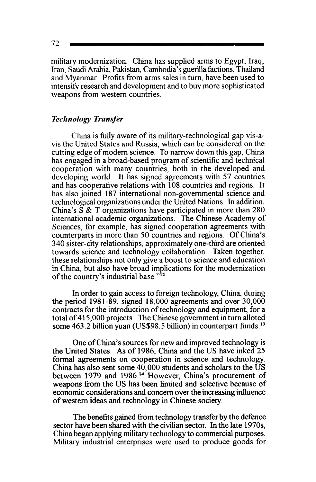72

military modernization. China has supplied arms to Egypt, Iraq, Iran, Saudi Arabia, Pakistan, Cambodia's guerilla factions, Thailand and Myanmar. Profits from arms sales in tum, have been used to intensify research and development and to buy more sophisticated weapons from western countries.

### *Technology Transfer*

China is fully aware of its military-technological gap vis-avis the United States and Russia, which can be considered on the cutting edge of modem science. To narrow down this gap, China has engaged in a broad-based program of scientific and technical cooperation with many countries, both in the developed and developing world. It has signed agreements with 57 countries and has cooperative relations with 108 countries and regions. It has also joined 187 international non-governmental science and technological organizations under the United Nations. In addition, China's S & T organizations have participated in more than 280 international academic organizations. The Chinese Academy of Sciences, for example, has signed cooperation agreements with counterparts in more than 50 countries and regions. Of China's 340 sister-city relationships, approximately one-third are oriented towards science and technology collaboration. Taken together, these relationships not only give a boost to science and education in China, but also have broad implications for the modernization of the country's industrial base."<sup>12</sup>

In order to gain access to foreign technology, China, during the period 1981-89, signed 18,000 agreements and over 30,000 contracts for the introduction of technology and equipment, for a total of 415,000 projects. The Chinese government in tum alloted some 463.2 billion yuan (US\$98.5 billion) in counterpart funds.<sup>13</sup>

One of China's sources for new and improved technology is the United States. As of 1986, China and the US have inked 25 formal agreements on cooperation in science and technology. China has also sent some 40,000 students and scholars to the US between 1979 and 1986.<sup>14</sup> However, China's procurement of weapons from the US has been limited and selective because of economic considerations and concern over the increasing influence of western ideas and technology in Chinese society.

The benefits gained from technology transfer by the defence sector have been shared with the civilian sector. In the late 1970s, China began applying military technology to commercial purposes. Military industrial enterprises were used to produce goods for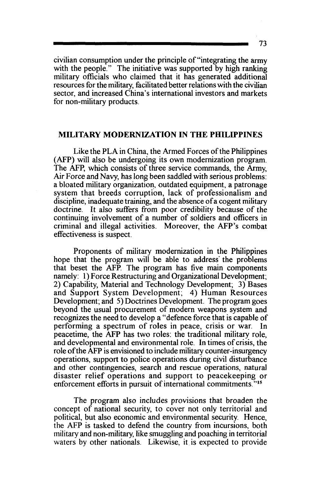civilian consumption under the principle of"integrating the army with the people." The initiative was supported by high ranking military officials who claimed that it has generated additional resources for the military, facilitated better relations with the civilian sector, and increased China's international investors and markets for non-military products.

### MILITARY MODERNIZATION IN THE PHILIPPINES

Like the PLA in China, the Armed Forces of the Philippines (AFP) will also be undergoing its own modernization program. The AFP, which consists of three service commands, the Army, *Air* Force and Navy, has long been saddled with serious problems: a bloated military organization, outdated equipment, a patronage system that breeds corruption, lack of professionalism and discipline, inadequate training, and the absence of a cogent military doctrine. It also suffers from poor credibility because of the continuing involvement of a number of soldiers and officers in criminal and illegal activities. Moreover, the AFP's combat effectiveness is suspect.

Proponents of military modernization in the Philippines hope that the program will be able to address the problems that beset the AFP. The program has five main components namely: 1) Force Restructuring and Organizational Development; 2) Capability, Material and Technology Development; 3) Bases and Support System Development; 4) Human Resources Development; and 5) Doctrines Development. The program goes beyond the usual procurement of modem weapons system and recognizes the need to develop a "defence force that is capable of performing a spectrum of roles in peace, crisis or war. In peacetime, the AFP has two roles: the traditional military role, and developmental and environmental role. In times of crisis, the role ofthe AFP is envisioned to include military counter-insurgency operations, support to police operations during civil disturbance and other contingencies, search and rescue operations, natural disaster relief operations and support to peacekeeping or enforcement efforts in pursuit of international commitments.<sup>715</sup>

The program also includes provisions that broaden the concept of national security, to cover not only territorial and political, but also economic and environmental security. Hence, the AFP is tasked to defend the country from incursions, both military and non-military, like smuggling and poaching in territorial waters by other nationals. Likewise, it is expected to provide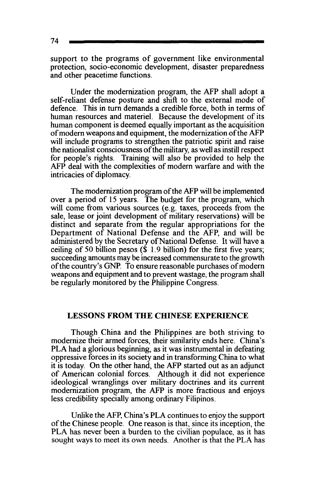support to the programs of government like environmental protection, socio-economic development, disaster preparedness and other peacetime functions.

Under the modernization program, the AFP shall adopt a self-reliant defense posture and shift to the external mode of defence. This in turn demands a credible force, both in terms of human resources and materiel. Because the development of its human component is deemed equally important as the acquisition of modern weapons and equipment, the modernization of the AFP will include programs to strengthen the patriotic spirit and raise the nationalist consciousness of the military, as well as instill respect for people's rights. Training will also be provided to help the AFP deal with the complexities of modern warfare and with the intricacies of diplomacy.

The modernization program of the AFP will be implemented over a period of 15 years. The budget for the program, which will come from various sources (e.g. taxes, proceeds from the sale, lease or joint development of military reservations) will be distinct and separate from the regular appropriations for the Department of National Defense and the AFP, and will be administered by the Secretary of National Defense. It will have a ceiling of 50 billion pesos  $(\hat{\mathbf{S}})$  1.9 billion) for the first five years; succeeding amounts may be increased commensurate to the growth ofthe country's GNP. To ensure reasonable purchases of modern weapons and equipment and to prevent wastage, the program shall be regularly monitored by the Philippine Congress.

### LESSONS FROM THE CHINESE EXPERIENCE

Though China and the Philippines are both striving to modernize their armed forces, their similarity ends here. China's PLA had a glorious beginning, as it was instrumental in defeating oppressive forces in its society and in transforming China to what it is today. On the other hand, the AFP started out as an adjunct of American colonial forces. Although it did not experience ideological wranglings over military doctrines and its current modernization program, the AFP is more fractious and enjoys less credibility specially among ordinary Filipinos.

Unlike the AFP, China's PLA continues to enjoy the support of the Chinese people. One reason is that, since its inception, the PLA has never been a burden to the civilian populace, as it has sought ways to meet its own needs. Another is that the PLA has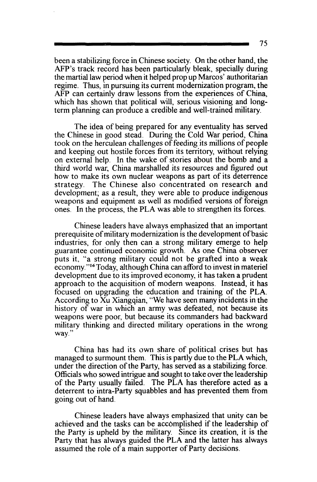been a stabilizing force in Chinese society. On the other hand, the AFP's track record has been particularly bleak, specially during the martial law period when it helped prop up Marcos' authoritarian regime. Thus, in pursuing its current modernization program, the AFP can certainly draw lessons from the experiences of China, which has shown that political will, serious visioning and longterm planning can produce a credible and well-trained military.

The idea of being prepared for any eventuality has served the Chinese in good stead. During the Cold War period, China took on the herculean challenges of feeding its millions of people and keeping out hostile forces from its territory, without relying on external help. In the wake of stories about the bomb and a third world war, China marshalled its resources and figured out how to make its own nuclear weapons as part of its deterrence<br>strategy. The Chinese also concentrated on research and The Chinese also concentrated on research and development; as a result, they were able to produce indigenous weapons and equipment as well as modified versions of foreign ones. In the process, the PLA was able to strengthen its forces.

Chinese leaders have always emphasized that an important prerequisite of military modernization is the development ofbasic industries, for only then can a strong military emerge to help guarantee continued economic growth. As one China observer puts it, "a strong military could not be grafted into a weak economy."16Today, although China can afford to invest in materiel development due to its improved economy, it has taken a prudent approach to the acquisition of modern weapons. Instead, it has focused on upgrading the education and training of the PLA. According to Xu Xiangqian, "We have seen many incidents in the history of war in which an army was defeated, not because its weapons were poor, but because its commanders had backward military thinking and directed military operations in the wrong way."

China has had its own share of political crises but has managed to surmount them. This is partly due to the PLA which, under the direction of the Party, has served as a stabilizing force. Officials who sowed intrigue and sought to take over the leadership of the Party usually failed. The PLA has therefore acted as a deterrent to intra-Party squabbles and has prevented them from going out of hand.

Chinese leaders have always emphasized that unity can be achieved and the tasks can be accomplished if the leadership of the Party is upheld by the military. Since its creation, it is the Party that has always guided the PLA and the latter has always assumed the role of a main supporter of Party decisions.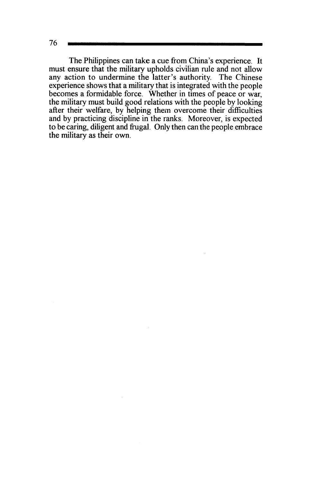The Philippines can take a cue from China's experience. It must ensure that the military upholds civilian rule and not allow any action to undermine the latter's authority. The Chinese experience shows that a military that is integrated with the people becomes a formidable force. Whether in times of peace or war, the military must build good relations with the people by looking after their welfare, by helping them overcome their difficulties and by practicing discipline in the ranks. Moreover, is expected to be caring, diligent and frugal. Only then can the people embrace the military as their own.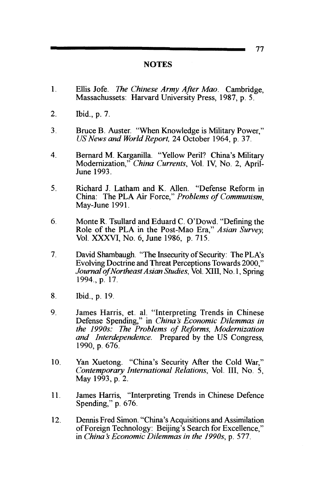## **NOTES**

- 1. Ellis Jofe. *The Chinese Army After Mao.* Cambridge, Massachussets: Harvard University Press, 1987, p. 5.
- 2. Ibid., p. 7.
- 3. Bruce B. Auster. "When Knowledge is Military Power," *US News and World Report,* 24 October 1964, p. 37.
- 4. Bernard M. Karganilla. "Yellow Peril? China's Military Modernization," *China Currents,* Vol. IV, No. 2, April-June 1993.
- 5. Richard J. Latham and K. Allen. "Defense Reform in China: The PLA Air Force," *Problems of Communism,*  May-June 1991.
- 6. MonteR. Tsullard and Eduard C. O'Dowd. "Defining the Role of the PLA in the Post-Mao Era," *Asian Survey,*  Vol. XXXVI, No. 6, June 1986, p. 715.
- 7. David Shambaugh. "The Insecurity of Security: The PLA's Evolving Doctrine and Threat Perceptions Towards 2000," *Journal of Northeast Asian Studies,* Vol. XIII, No.1, Spring 1994., p. 17.
- 8. Ibid., p. 19.
- 9. James Harris, et. al. "Interpreting Trends in Chinese Defense Spending," in *China's Economic Dilemmas in the 1990s: The Problems of Reforms, Modernization and Interdependence.* Prepared by the US Congress, 1990, p. 676.
- 10. Yan Xuetong. "China's Security After the Cold War," *Contemporary International Relations,* Vol. III, No. 5, May 1993, p. 2.
- 11. James Harris, "Interpreting Trends in Chinese Defence Spending," p. 676.
- 12. Dennis Fred Simon. "China's Acquisitions and Assimilation ofForeign Technology: Beijing's Search for Excellence," in *China's Economic Dilemmas in the 1990s, p. 577.*